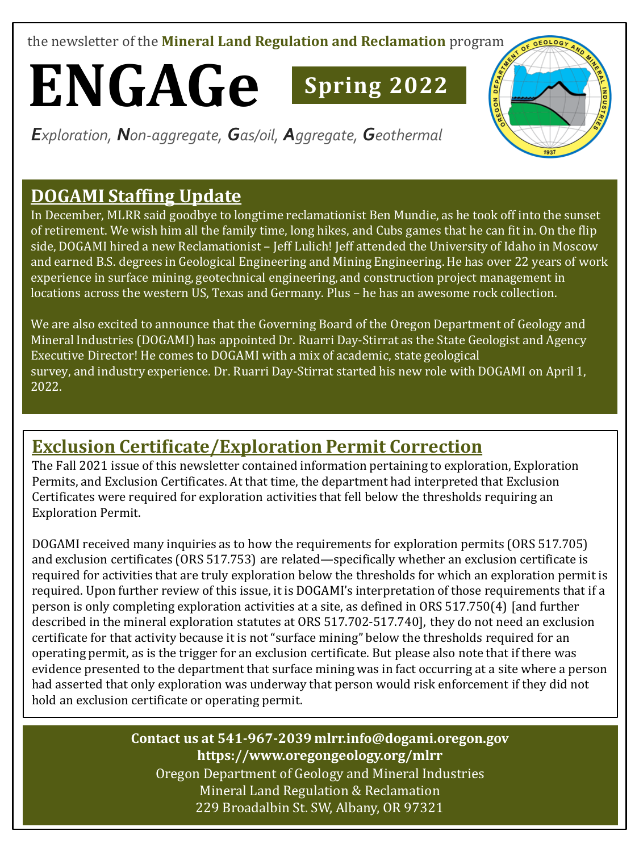the newsletter of the **Mineral Land Regulation and Reclamation** program

# **ENGAGe Spring 202<sup>2</sup>**

*Exploration, Non-aggregate, Gas/oil, Aggregate, Geothermal*

# **DOGAMI Staffing Update**

In December, MLRR said goodbye to longtime reclamationist Ben Mundie, as he took off into the sunset of retirement. We wish him all the family time, long hikes, and Cubs games that he can fit in. On the flip side, DOGAMI hired a new Reclamationist – Jeff Lulich! Jeff attended the University of Idaho in Moscow and earned B.S. degrees in Geological Engineering and Mining Engineering. He has over 22 years of work experience in surface mining, geotechnical engineering, and construction project management in locations across the western US, Texas and Germany. Plus – he has an awesome rock collection.

We are also excited to announce that the Governing Board of the Oregon Department of Geology and Mineral Industries (DOGAMI) has appointed Dr. Ruarri Day-Stirrat as the State Geologist and Agency Executive Director! He comes to DOGAMI with a mix of academic, state geological survey, and industry experience. Dr. Ruarri Day-Stirrat started his new role with DOGAMI on April 1, 2022.

# **Exclusion Certificate/Exploration Permit Correction**

The Fall 2021 issue of this newsletter contained information pertaining to exploration, Exploration Permits, and Exclusion Certificates. At that time, the department had interpreted that Exclusion Certificates were required for exploration activities that fell below the thresholds requiring an Exploration Permit.

DOGAMI received many inquiries as to how the requirements for exploration permits (ORS 517.705) and exclusion certificates (ORS 517.753) are related—specifically whether an exclusion certificate is required for activities that are truly exploration below the thresholds for which an exploration permit is required. Upon further review of this issue, it is DOGAMI's interpretation of those requirements that if a person is only completing exploration activities at a site, as defined in ORS 517.750(4) [and further described in the mineral exploration statutes at ORS 517.702-517.740], they do not need an exclusion certificate for that activity because it is not "surface mining" below the thresholds required for an operating permit, as is the trigger for an exclusion certificate. But please also note that if there was evidence presented to the department that surface mining was in fact occurring at a site where a person had asserted that only exploration was underway that person would risk enforcement if they did not hold an exclusion certificate or operating permit.

### Oregon Department of Geology and Mineral Industries Mineral Land Regulation & Reclamation **Contact us at 541-967-2039 mlrr.info@dogami.oregon.gov https://www.oregongeology.org/mlrr**

229 Broadalbin St. SW, Albany, OR 97321